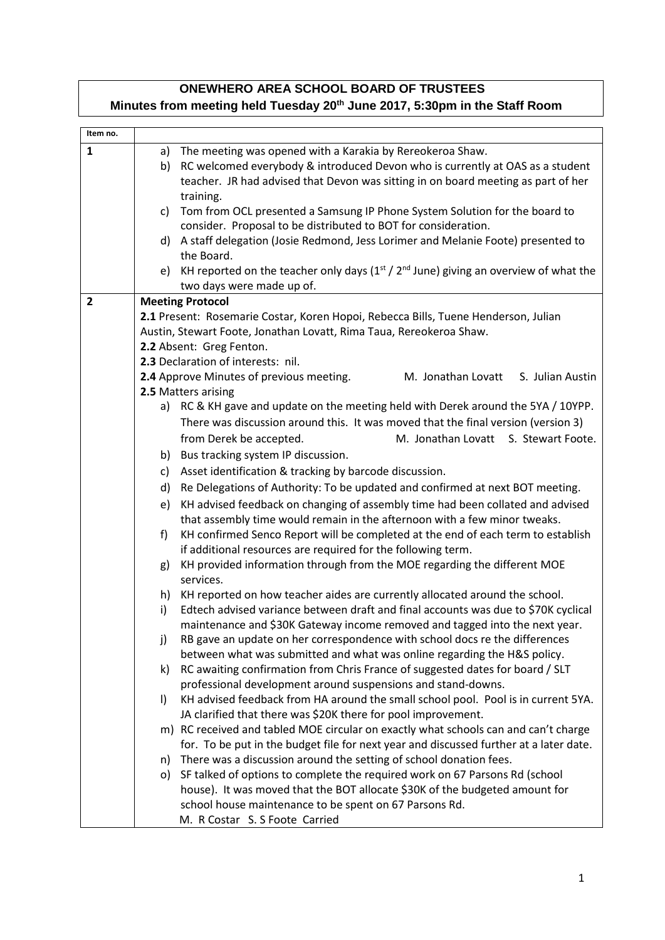## **ONEWHERO AREA SCHOOL BOARD OF TRUSTEES Minutes from meeting held Tuesday 20th June 2017, 5:30pm in the Staff Room**

| Item no.       |    |                                                                                                                                                                               |
|----------------|----|-------------------------------------------------------------------------------------------------------------------------------------------------------------------------------|
| $\mathbf{1}$   | a) | The meeting was opened with a Karakia by Rereokeroa Shaw.                                                                                                                     |
|                | b) | RC welcomed everybody & introduced Devon who is currently at OAS as a student                                                                                                 |
|                |    | teacher. JR had advised that Devon was sitting in on board meeting as part of her                                                                                             |
|                |    | training.                                                                                                                                                                     |
|                | C) | Tom from OCL presented a Samsung IP Phone System Solution for the board to                                                                                                    |
|                |    | consider. Proposal to be distributed to BOT for consideration.                                                                                                                |
|                |    | d) A staff delegation (Josie Redmond, Jess Lorimer and Melanie Foote) presented to                                                                                            |
|                |    | the Board.                                                                                                                                                                    |
|                | e) | KH reported on the teacher only days $(1st / 2nd$ June) giving an overview of what the                                                                                        |
|                |    | two days were made up of.                                                                                                                                                     |
| $\overline{2}$ |    | <b>Meeting Protocol</b>                                                                                                                                                       |
|                |    | 2.1 Present: Rosemarie Costar, Koren Hopoi, Rebecca Bills, Tuene Henderson, Julian                                                                                            |
|                |    | Austin, Stewart Foote, Jonathan Lovatt, Rima Taua, Rereokeroa Shaw.                                                                                                           |
|                |    | 2.2 Absent: Greg Fenton.<br>2.3 Declaration of interests: nil.                                                                                                                |
|                |    | 2.4 Approve Minutes of previous meeting.<br>M. Jonathan Lovatt<br>S. Julian Austin                                                                                            |
|                |    | 2.5 Matters arising                                                                                                                                                           |
|                |    | a) RC & KH gave and update on the meeting held with Derek around the 5YA / 10YPP.                                                                                             |
|                |    | There was discussion around this. It was moved that the final version (version 3)                                                                                             |
|                |    | from Derek be accepted.<br>M. Jonathan Lovatt S. Stewart Foote.                                                                                                               |
|                |    | b) Bus tracking system IP discussion.                                                                                                                                         |
|                | c) | Asset identification & tracking by barcode discussion.                                                                                                                        |
|                | d) | Re Delegations of Authority: To be updated and confirmed at next BOT meeting.                                                                                                 |
|                | e) | KH advised feedback on changing of assembly time had been collated and advised                                                                                                |
|                |    | that assembly time would remain in the afternoon with a few minor tweaks.                                                                                                     |
|                | f) | KH confirmed Senco Report will be completed at the end of each term to establish                                                                                              |
|                |    | if additional resources are required for the following term.                                                                                                                  |
|                | g) | KH provided information through from the MOE regarding the different MOE                                                                                                      |
|                |    | services.                                                                                                                                                                     |
|                | h) | KH reported on how teacher aides are currently allocated around the school.                                                                                                   |
|                | i) | Edtech advised variance between draft and final accounts was due to \$70K cyclical                                                                                            |
|                |    | maintenance and \$30K Gateway income removed and tagged into the next year.                                                                                                   |
|                | j) | RB gave an update on her correspondence with school docs re the differences                                                                                                   |
|                |    | between what was submitted and what was online regarding the H&S policy.                                                                                                      |
|                | k) | RC awaiting confirmation from Chris France of suggested dates for board / SLT                                                                                                 |
|                |    | professional development around suspensions and stand-downs.                                                                                                                  |
|                | I) | KH advised feedback from HA around the small school pool. Pool is in current 5YA.                                                                                             |
|                |    | JA clarified that there was \$20K there for pool improvement.                                                                                                                 |
|                |    | m) RC received and tabled MOE circular on exactly what schools can and can't charge<br>for. To be put in the budget file for next year and discussed further at a later date. |
|                | n) | There was a discussion around the setting of school donation fees.                                                                                                            |
|                |    | o) SF talked of options to complete the required work on 67 Parsons Rd (school                                                                                                |
|                |    | house). It was moved that the BOT allocate \$30K of the budgeted amount for                                                                                                   |
|                |    | school house maintenance to be spent on 67 Parsons Rd.                                                                                                                        |
|                |    | M. R Costar S. S Foote Carried                                                                                                                                                |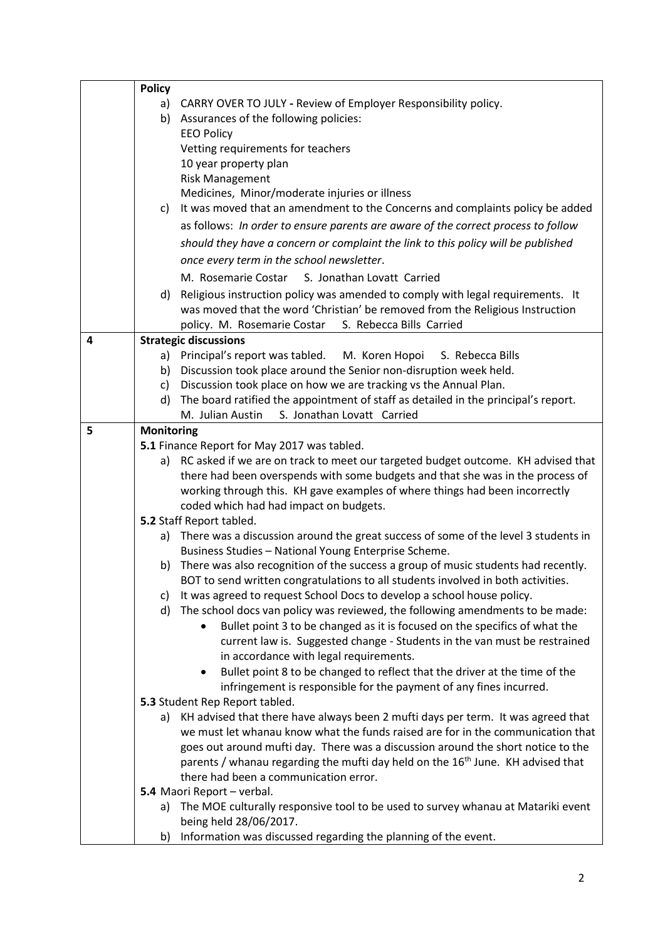|   | <b>Policy</b>                |                                                                                                                                                                     |  |
|---|------------------------------|---------------------------------------------------------------------------------------------------------------------------------------------------------------------|--|
|   | a)                           | CARRY OVER TO JULY - Review of Employer Responsibility policy.                                                                                                      |  |
|   | b)                           | Assurances of the following policies:                                                                                                                               |  |
|   |                              | <b>EEO Policy</b>                                                                                                                                                   |  |
|   |                              | Vetting requirements for teachers                                                                                                                                   |  |
|   |                              | 10 year property plan                                                                                                                                               |  |
|   |                              | <b>Risk Management</b>                                                                                                                                              |  |
|   |                              | Medicines, Minor/moderate injuries or illness                                                                                                                       |  |
|   | C)                           | It was moved that an amendment to the Concerns and complaints policy be added                                                                                       |  |
|   |                              | as follows: In order to ensure parents are aware of the correct process to follow                                                                                   |  |
|   |                              | should they have a concern or complaint the link to this policy will be published                                                                                   |  |
|   |                              | once every term in the school newsletter.                                                                                                                           |  |
|   |                              | M. Rosemarie Costar<br>S. Jonathan Lovatt Carried                                                                                                                   |  |
|   | d)                           | Religious instruction policy was amended to comply with legal requirements. It                                                                                      |  |
|   |                              | was moved that the word 'Christian' be removed from the Religious Instruction                                                                                       |  |
|   |                              | policy. M. Rosemarie Costar S. Rebecca Bills Carried                                                                                                                |  |
| 4 | <b>Strategic discussions</b> |                                                                                                                                                                     |  |
|   |                              | a) Principal's report was tabled. M. Koren Hopoi<br>S. Rebecca Bills                                                                                                |  |
|   | b)                           | Discussion took place around the Senior non-disruption week held.                                                                                                   |  |
|   | c)                           | Discussion took place on how we are tracking vs the Annual Plan.                                                                                                    |  |
|   | d)                           | The board ratified the appointment of staff as detailed in the principal's report.                                                                                  |  |
|   |                              | S. Jonathan Lovatt Carried<br>M. Julian Austin                                                                                                                      |  |
| 5 | <b>Monitoring</b>            |                                                                                                                                                                     |  |
|   |                              | 5.1 Finance Report for May 2017 was tabled.                                                                                                                         |  |
|   |                              | a) RC asked if we are on track to meet our targeted budget outcome. KH advised that                                                                                 |  |
|   |                              | there had been overspends with some budgets and that she was in the process of                                                                                      |  |
|   |                              | working through this. KH gave examples of where things had been incorrectly                                                                                         |  |
|   |                              | coded which had had impact on budgets.                                                                                                                              |  |
|   |                              | 5.2 Staff Report tabled.                                                                                                                                            |  |
|   |                              | a) There was a discussion around the great success of some of the level 3 students in<br>Business Studies - National Young Enterprise Scheme.                       |  |
|   | b)                           | There was also recognition of the success a group of music students had recently.                                                                                   |  |
|   |                              | BOT to send written congratulations to all students involved in both activities.                                                                                    |  |
|   | C)                           | It was agreed to request School Docs to develop a school house policy.                                                                                              |  |
|   | d)                           | The school docs van policy was reviewed, the following amendments to be made:                                                                                       |  |
|   |                              | Bullet point 3 to be changed as it is focused on the specifics of what the                                                                                          |  |
|   |                              | current law is. Suggested change - Students in the van must be restrained                                                                                           |  |
|   |                              | in accordance with legal requirements.                                                                                                                              |  |
|   |                              | Bullet point 8 to be changed to reflect that the driver at the time of the<br>$\bullet$                                                                             |  |
|   |                              | infringement is responsible for the payment of any fines incurred.                                                                                                  |  |
|   |                              | 5.3 Student Rep Report tabled.                                                                                                                                      |  |
|   | a)                           | KH advised that there have always been 2 mufti days per term. It was agreed that<br>we must let whanau know what the funds raised are for in the communication that |  |
|   |                              | goes out around mufti day. There was a discussion around the short notice to the                                                                                    |  |
|   |                              | parents / whanau regarding the mufti day held on the 16 <sup>th</sup> June. KH advised that                                                                         |  |
|   |                              | there had been a communication error.                                                                                                                               |  |
|   |                              | 5.4 Maori Report - verbal.                                                                                                                                          |  |
|   | a)                           | The MOE culturally responsive tool to be used to survey whanau at Matariki event                                                                                    |  |
|   |                              | being held 28/06/2017.                                                                                                                                              |  |
|   | b)                           | Information was discussed regarding the planning of the event.                                                                                                      |  |